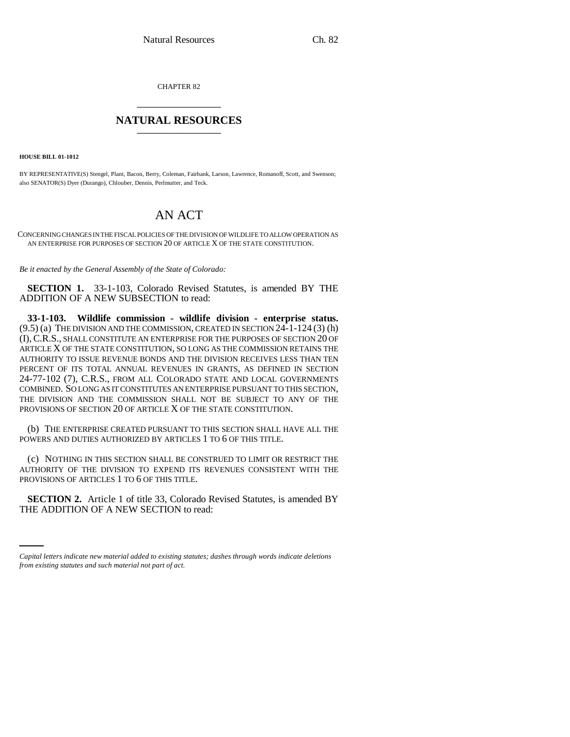CHAPTER 82 \_\_\_\_\_\_\_\_\_\_\_\_\_\_\_

## **NATURAL RESOURCES** \_\_\_\_\_\_\_\_\_\_\_\_\_\_\_

**HOUSE BILL 01-1012**

BY REPRESENTATIVE(S) Stengel, Plant, Bacon, Berry, Coleman, Fairbank, Larson, Lawrence, Romanoff, Scott, and Swenson; also SENATOR(S) Dyer (Durango), Chlouber, Dennis, Perlmutter, and Teck.

## AN ACT

CONCERNING CHANGES IN THE FISCAL POLICIES OF THE DIVISION OF WILDLIFE TO ALLOW OPERATION AS AN ENTERPRISE FOR PURPOSES OF SECTION 20 OF ARTICLE X OF THE STATE CONSTITUTION.

*Be it enacted by the General Assembly of the State of Colorado:*

**SECTION 1.** 33-1-103, Colorado Revised Statutes, is amended BY THE ADDITION OF A NEW SUBSECTION to read:

**33-1-103. Wildlife commission - wildlife division - enterprise status.** (9.5) (a) THE DIVISION AND THE COMMISSION, CREATED IN SECTION 24-1-124 (3) (h) (I),C.R.S., SHALL CONSTITUTE AN ENTERPRISE FOR THE PURPOSES OF SECTION 20 OF ARTICLE X OF THE STATE CONSTITUTION, SO LONG AS THE COMMISSION RETAINS THE AUTHORITY TO ISSUE REVENUE BONDS AND THE DIVISION RECEIVES LESS THAN TEN PERCENT OF ITS TOTAL ANNUAL REVENUES IN GRANTS, AS DEFINED IN SECTION 24-77-102 (7), C.R.S., FROM ALL COLORADO STATE AND LOCAL GOVERNMENTS COMBINED. SO LONG AS IT CONSTITUTES AN ENTERPRISE PURSUANT TO THIS SECTION, THE DIVISION AND THE COMMISSION SHALL NOT BE SUBJECT TO ANY OF THE PROVISIONS OF SECTION 20 OF ARTICLE X OF THE STATE CONSTITUTION.

(b) THE ENTERPRISE CREATED PURSUANT TO THIS SECTION SHALL HAVE ALL THE POWERS AND DUTIES AUTHORIZED BY ARTICLES 1 TO 6 OF THIS TITLE.

(c) NOTHING IN THIS SECTION SHALL BE CONSTRUED TO LIMIT OR RESTRICT THE AUTHORITY OF THE DIVISION TO EXPEND ITS REVENUES CONSISTENT WITH THE PROVISIONS OF ARTICLES 1 TO 6 OF THIS TITLE.

 **SECTION 2.** Article 1 of title 33, Colorado Revised Statutes, is amended BY THE ADDITION OF A NEW SECTION to read:

*Capital letters indicate new material added to existing statutes; dashes through words indicate deletions from existing statutes and such material not part of act.*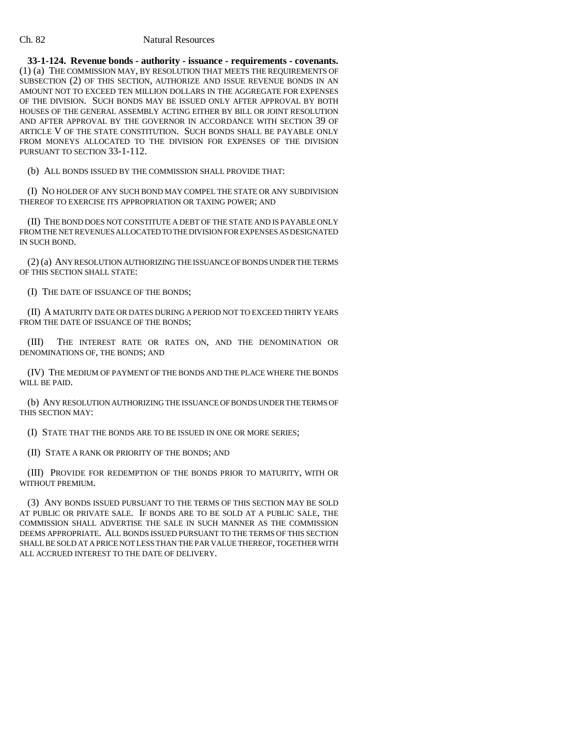## Ch. 82 Natural Resources

**33-1-124. Revenue bonds - authority - issuance - requirements - covenants.** (1) (a) THE COMMISSION MAY, BY RESOLUTION THAT MEETS THE REQUIREMENTS OF SUBSECTION (2) OF THIS SECTION, AUTHORIZE AND ISSUE REVENUE BONDS IN AN AMOUNT NOT TO EXCEED TEN MILLION DOLLARS IN THE AGGREGATE FOR EXPENSES OF THE DIVISION. SUCH BONDS MAY BE ISSUED ONLY AFTER APPROVAL BY BOTH HOUSES OF THE GENERAL ASSEMBLY ACTING EITHER BY BILL OR JOINT RESOLUTION AND AFTER APPROVAL BY THE GOVERNOR IN ACCORDANCE WITH SECTION 39 OF ARTICLE V OF THE STATE CONSTITUTION. SUCH BONDS SHALL BE PAYABLE ONLY FROM MONEYS ALLOCATED TO THE DIVISION FOR EXPENSES OF THE DIVISION PURSUANT TO SECTION 33-1-112.

(b) ALL BONDS ISSUED BY THE COMMISSION SHALL PROVIDE THAT:

(I) NO HOLDER OF ANY SUCH BOND MAY COMPEL THE STATE OR ANY SUBDIVISION THEREOF TO EXERCISE ITS APPROPRIATION OR TAXING POWER; AND

(II) THE BOND DOES NOT CONSTITUTE A DEBT OF THE STATE AND IS PAYABLE ONLY FROM THE NET REVENUES ALLOCATED TO THE DIVISION FOR EXPENSES AS DESIGNATED IN SUCH BOND.

(2) (a) ANY RESOLUTION AUTHORIZING THE ISSUANCE OF BONDS UNDER THE TERMS OF THIS SECTION SHALL STATE:

(I) THE DATE OF ISSUANCE OF THE BONDS;

(II) A MATURITY DATE OR DATES DURING A PERIOD NOT TO EXCEED THIRTY YEARS FROM THE DATE OF ISSUANCE OF THE BONDS:

(III) THE INTEREST RATE OR RATES ON, AND THE DENOMINATION OR DENOMINATIONS OF, THE BONDS; AND

(IV) THE MEDIUM OF PAYMENT OF THE BONDS AND THE PLACE WHERE THE BONDS WILL BE PAID.

(b) ANY RESOLUTION AUTHORIZING THE ISSUANCE OF BONDS UNDER THE TERMS OF THIS SECTION MAY:

(I) STATE THAT THE BONDS ARE TO BE ISSUED IN ONE OR MORE SERIES;

(II) STATE A RANK OR PRIORITY OF THE BONDS; AND

(III) PROVIDE FOR REDEMPTION OF THE BONDS PRIOR TO MATURITY, WITH OR WITHOUT PREMIUM.

(3) ANY BONDS ISSUED PURSUANT TO THE TERMS OF THIS SECTION MAY BE SOLD AT PUBLIC OR PRIVATE SALE. IF BONDS ARE TO BE SOLD AT A PUBLIC SALE, THE COMMISSION SHALL ADVERTISE THE SALE IN SUCH MANNER AS THE COMMISSION DEEMS APPROPRIATE. ALL BONDS ISSUED PURSUANT TO THE TERMS OF THIS SECTION SHALL BE SOLD AT A PRICE NOT LESS THAN THE PAR VALUE THEREOF, TOGETHER WITH ALL ACCRUED INTEREST TO THE DATE OF DELIVERY.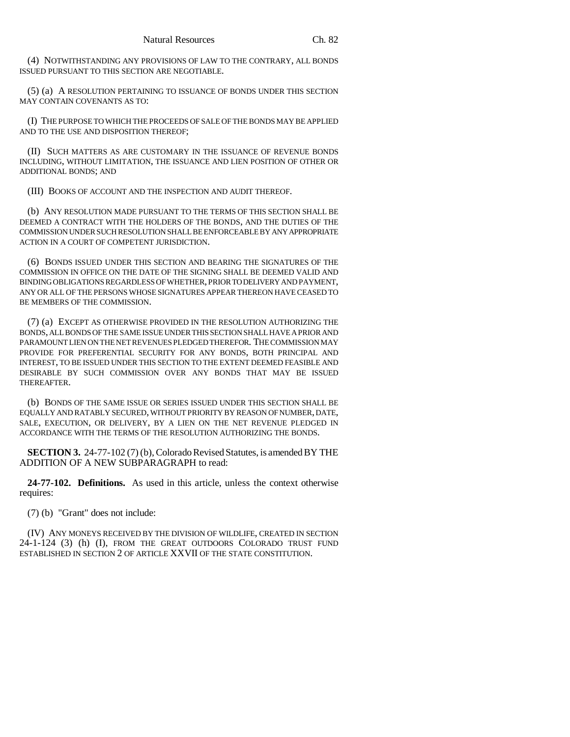(4) NOTWITHSTANDING ANY PROVISIONS OF LAW TO THE CONTRARY, ALL BONDS ISSUED PURSUANT TO THIS SECTION ARE NEGOTIABLE.

(5) (a) A RESOLUTION PERTAINING TO ISSUANCE OF BONDS UNDER THIS SECTION MAY CONTAIN COVENANTS AS TO:

(I) THE PURPOSE TO WHICH THE PROCEEDS OF SALE OF THE BONDS MAY BE APPLIED AND TO THE USE AND DISPOSITION THEREOF;

(II) SUCH MATTERS AS ARE CUSTOMARY IN THE ISSUANCE OF REVENUE BONDS INCLUDING, WITHOUT LIMITATION, THE ISSUANCE AND LIEN POSITION OF OTHER OR ADDITIONAL BONDS; AND

(III) BOOKS OF ACCOUNT AND THE INSPECTION AND AUDIT THEREOF.

(b) ANY RESOLUTION MADE PURSUANT TO THE TERMS OF THIS SECTION SHALL BE DEEMED A CONTRACT WITH THE HOLDERS OF THE BONDS, AND THE DUTIES OF THE COMMISSION UNDER SUCH RESOLUTION SHALL BE ENFORCEABLE BY ANY APPROPRIATE ACTION IN A COURT OF COMPETENT JURISDICTION.

(6) BONDS ISSUED UNDER THIS SECTION AND BEARING THE SIGNATURES OF THE COMMISSION IN OFFICE ON THE DATE OF THE SIGNING SHALL BE DEEMED VALID AND BINDING OBLIGATIONS REGARDLESS OF WHETHER, PRIOR TO DELIVERY AND PAYMENT, ANY OR ALL OF THE PERSONS WHOSE SIGNATURES APPEAR THEREON HAVE CEASED TO BE MEMBERS OF THE COMMISSION.

(7) (a) EXCEPT AS OTHERWISE PROVIDED IN THE RESOLUTION AUTHORIZING THE BONDS, ALL BONDS OF THE SAME ISSUE UNDER THIS SECTION SHALL HAVE A PRIOR AND PARAMOUNT LIEN ON THE NET REVENUES PLEDGED THEREFOR. THE COMMISSION MAY PROVIDE FOR PREFERENTIAL SECURITY FOR ANY BONDS, BOTH PRINCIPAL AND INTEREST, TO BE ISSUED UNDER THIS SECTION TO THE EXTENT DEEMED FEASIBLE AND DESIRABLE BY SUCH COMMISSION OVER ANY BONDS THAT MAY BE ISSUED THEREAFTER.

(b) BONDS OF THE SAME ISSUE OR SERIES ISSUED UNDER THIS SECTION SHALL BE EQUALLY AND RATABLY SECURED, WITHOUT PRIORITY BY REASON OF NUMBER, DATE, SALE, EXECUTION, OR DELIVERY, BY A LIEN ON THE NET REVENUE PLEDGED IN ACCORDANCE WITH THE TERMS OF THE RESOLUTION AUTHORIZING THE BONDS.

**SECTION 3.** 24-77-102 (7) (b), Colorado Revised Statutes, is amended BY THE ADDITION OF A NEW SUBPARAGRAPH to read:

**24-77-102. Definitions.** As used in this article, unless the context otherwise requires:

(7) (b) "Grant" does not include:

(IV) ANY MONEYS RECEIVED BY THE DIVISION OF WILDLIFE, CREATED IN SECTION 24-1-124 (3) (h) (I), FROM THE GREAT OUTDOORS COLORADO TRUST FUND ESTABLISHED IN SECTION 2 OF ARTICLE XXVII OF THE STATE CONSTITUTION.